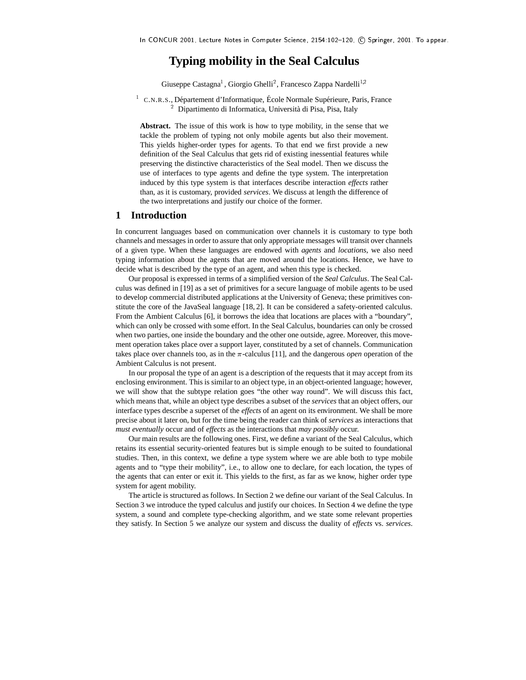# **Typing mobility in the Seal Calculus**

Giuseppe Castagna<sup>1</sup>, Giorgio Ghelli<sup>2</sup>, Francesco Zappa Nardelli<sup>1,2</sup>

<sup>1</sup> C.N.R.S., Département d'Informatique, École Normale Supérieure, Paris, France <sup>2</sup> Dipartimento di Informatica, Università di Pisa, Pisa, Italy

**Abstract.** The issue of this work is how to type mobility, in the sense that we tackle the problem of typing not only mobile agents but also their movement. This yields higher-order types for agents. To that end we first provide a new definition of the Seal Calculus that gets rid of existing inessential features while preserving the distinctive characteristics of the Seal model. Then we discuss the use of interfaces to type agents and define the type system. The interpretation induced by this type system is that interfaces describe interaction *effects* rather than, as it is customary, provided *services*. We discuss at length the difference of the two interpretations and justify our choice of the former.

#### **1 Introduction**

In concurrent languages based on communication over channels it is customary to type both channels and messages in order to assure that only appropriate messages will transit over channels of a given type. When these languages are endowed with *agents* and *locations*, we also need typing information about the agents that are moved around the locations. Hence, we have to decide what is described by the type of an agent, and when this type is checked.

Our proposal is expressed in terms of a simplified version of the *Seal Calculus*. The Seal Calculus was defined in [19] as a set of primitives for a secure language of mobile agents to be used to develop commercial distributed applications at the University of Geneva; these primitives constitute the core of the JavaSeal language [18, 2]. It can be considered a safety-oriented calculus. From the Ambient Calculus [6], it borrows the idea that locations are places with a "boundary", which can only be crossed with some effort. In the Seal Calculus, boundaries can only be crossed when two parties, one inside the boundary and the other one outside, agree. Moreover, this movement operation takes place over a support layer, constituted by a set of channels. Communication takes place over channels too, as in the  $\pi$ -calculus [11], and the dangerous *open* operation of the Ambient Calculus is not present.

In our proposal the type of an agent is a description of the requests that it may accept from its enclosing environment. This is similar to an object type, in an object-oriented language; however, we will show that the subtype relation goes "the other way round". We will discuss this fact, which means that, while an object type describes a subset of the *services* that an object offers, our interface types describe a superset of the *effects* of an agent on its environment. We shall be more precise about it later on, but for the time being the reader can think of *services* as interactions that *must eventually* occur and of *effects* as the interactions that *may possibly* occur.

Our main results are the following ones. First, we define a variant of the Seal Calculus, which retains its essential security-oriented features but is simple enough to be suited to foundational studies. Then, in this context, we define a type system where we are able both to type mobile agents and to "type their mobility", i.e., to allow one to declare, for each location, the types of the agents that can enter or exit it. This yields to the first, as far as we know, higher order type system for agent mobility.

The article is structured as follows. In Section 2 we define our variant of the Seal Calculus. In Section 3 we introduce the typed calculus and justify our choices. In Section 4 we define the type system, a sound and complete type-checking algorithm, and we state some relevant properties they satisfy. In Section 5 we analyze our system and discuss the duality of *effects* vs. *services*.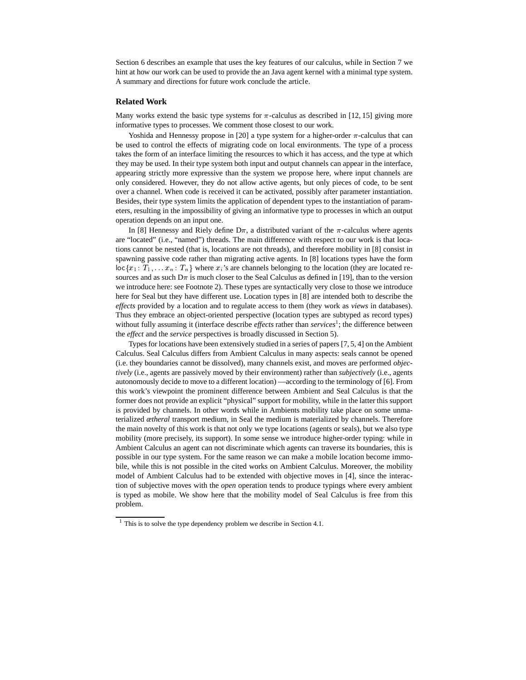Section 6 describes an example that uses the key features of our calculus, while in Section 7 we hint at how our work can be used to provide the an Java agent kernel with a minimal type system. A summary and directions for future work conclude the article.

#### **Related Work**

Many works extend the basic type systems for  $\pi$ -calculus as described in [12, 15] giving more informative types to processes. We comment those closest to our work.

Yoshida and Hennessy propose in [20] a type system for a higher-order  $\pi$ -calculus that can be used to control the effects of migrating code on local environments. The type of a process takes the form of an interface limiting the resources to which it has access, and the type at which they may be used. In their type system both input and output channels can appear in the interface, appearing strictly more expressive than the system we propose here, where input channels are only considered. However, they do not allow active agents, but only pieces of code, to be sent over a channel. When code is received it can be activated, possibly after parameter instantiation. Besides, their type system limits the application of dependent types to the instantiation of parameters, resulting in the impossibility of giving an informative type to processes in which an output operation depends on an input one.

In [8] Hennessy and Riely define  $D\pi$ , a distributed variant of the  $\pi$ -calculus where agents are "located" (i.e., "named") threads. The main difference with respect to our work is that locations cannot be nested (that is, locations are not threads), and therefore mobility in [8] consist in spawning passive code rather than migrating active agents. In [8] locations types have the form  $\log\{x_1 : T_1, \ldots, x_n : T_n\}$  where  $x_i$ 's are channels belonging to the location (they are located resources and as such  $D\pi$  is much closer to the Seal Calculus as defined in [19], than to the version we introduce here: see Footnote 2). These types are syntactically very close to those we introduce here for Seal but they have different use. Location types in [8] are intended both to describe the *effects* provided by a location and to regulate access to them (they work as *views* in databases). Thus they embrace an object-oriented perspective (location types are subtyped as record types) without fully assuming it (interface describe *effects* rather than *services*<sup>1</sup>; the difference between the *effect* and the *service* perspectives is broadly discussed in Section 5).

Types for locations have been extensively studied in a series of papers [7, 5, 4] on the Ambient Calculus. Seal Calculus differs from Ambient Calculus in many aspects: seals cannot be opened (i.e. they boundaries cannot be dissolved), many channels exist, and moves are performed *objectively* (i.e., agents are passively moved by their environment) rather than *subjectively* (i.e., agents autonomously decide to move to a different location) —according to the terminology of [6]. From this work's viewpoint the prominent difference between Ambient and Seal Calculus is that the former does not provide an explicit "physical" support for mobility, while in the latter this support is provided by channels. In other words while in Ambients mobility take place on some unmaterialized *ætheral* transport medium, in Seal the medium is materialized by channels. Therefore the main novelty of this work is that not only we type locations (agents or seals), but we also type mobility (more precisely, its support). In some sense we introduce higher-order typing: while in Ambient Calculus an agent can not discriminate which agents can traverse its boundaries, this is possible in our type system. For the same reason we can make a mobile location become immobile, while this is not possible in the cited works on Ambient Calculus. Moreover, the mobility model of Ambient Calculus had to be extended with objective moves in [4], since the interaction of subjective moves with the *open* operation tends to produce typings where every ambient is typed as mobile. We show here that the mobility model of Seal Calculus is free from this problem.

 $1$  This is to solve the type dependency problem we describe in Section 4.1.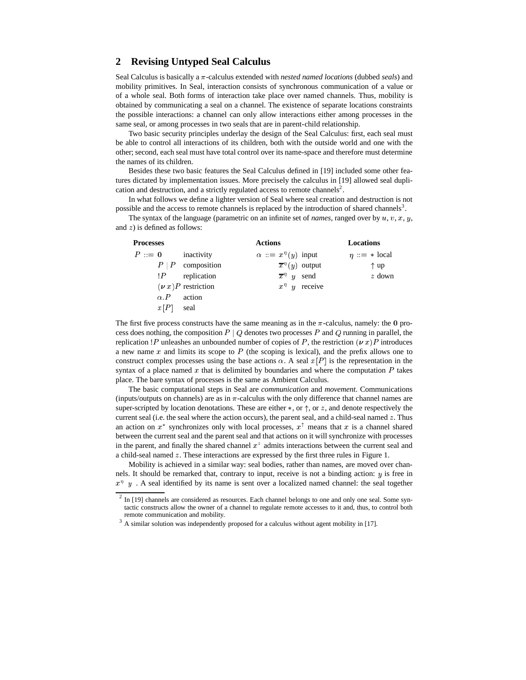## **2 Revising Untyped Seal Calculus**

Seal Calculus is basically a π-calculus extended with *nested named locations* (dubbed *seals*) and mobility primitives. In Seal, interaction consists of synchronous communication of a value or of a whole seal. Both forms of interaction take place over named channels. Thus, mobility is obtained by communicating a seal on a channel. The existence of separate locations constraints the possible interactions: a channel can only allow interactions either among processes in the same seal, or among processes in two seals that are in parent-child relationship.

Two basic security principles underlay the design of the Seal Calculus: first, each seal must be able to control all interactions of its children, both with the outside world and one with the other; second, each seal must have total control over its name-space and therefore must determine the names of its children.

Besides these two basic features the Seal Calculus defined in [19] included some other features dictated by implementation issues. More precisely the calculus in [19] allowed seal duplication and destruction, and a strictly regulated access to remote channels<sup>2</sup>.

In what follows we define a lighter version of Seal where seal creation and destruction is not possible and the access to remote channels is replaced by the introduction of shared channels<sup>3</sup>.

The syntax of the language (parametric on an infinite set of *names*, ranged over by  $u, v, x, y$ , and  $z$ ) is defined as follows:

| <b>Processes</b>                                           | <b>Actions</b>                                 | <b>Locations</b>     |
|------------------------------------------------------------|------------------------------------------------|----------------------|
| $P := 0$<br>inactivity                                     | $\alpha := x^{\eta}(y)$ input                  | $\eta ::= * local$   |
| $\mid P \mid P$ composition                                | $\left  \overline{x}^{\eta}(y) \right $ output | $\uparrow$ up        |
| $\vert P \vert$ replication                                | $\overline{x}^{\eta} \{y\}$ send               | $\vert z \vert$ down |
| $ \psi(x) $ restriction                                    | $\left  x^n \right\{y\}$ receive               |                      |
| $\begin{vmatrix} \alpha & P & \text{action} \end{vmatrix}$ |                                                |                      |
| $\mid x[P]$<br>seal                                        |                                                |                      |

The first five process constructs have the same meaning as in the  $\pi$ -calculus, namely: the 0 process does nothing, the composition  $P \nvert Q$  denotes two processes P and Q running in parallel, the replication ! P unleashes an unbounded number of copies of P, the restriction  $(\nu x)P$  introduces a new name  $x$  and limits its scope to  $P$  (the scoping is lexical), and the prefix allows one to construct complex processes using the base actions  $\alpha$ . A seal  $x[P]$  is the representation in the syntax of a place named  $x$  that is delimited by boundaries and where the computation  $P$  takes place. The bare syntax of processes is the same as Ambient Calculus.

The basic computational steps in Seal are *communication* and *movement*. Communications (inputs/outputs on channels) are as in  $\pi$ -calculus with the only difference that channel names are super-scripted by location denotations. These are either  $\ast$ , or  $\uparrow$ , or  $z$ , and denote respectively the current seal (i.e. the seal where the action occurs), the parent seal, and a child-seal named  $z$ . Thus an action on  $x^*$  synchronizes only with local processes,  $x^{\uparrow}$  means that x is a channel shared between the current seal and the parent seal and that actions on it will synchronize with processes in the parent, and finally the shared channel  $x^2$  admits interactions between the current seal and a child-seal named <sup>z</sup>. These interactions are expressed by the first three rules in Figure 1.

Mobility is achieved in a similar way: seal bodies, rather than names, are moved over channels. It should be remarked that, contrary to input, receive is not a binding action:  $y$  is free in  $x^{\eta} \{y\}$ . A seal identified by its name is sent over a localized named channel: the seal together

 $2 \text{ In } [19]$  channels are considered as resources. Each channel belongs to one and only one seal. Some syntactic constructs allow the owner of a channel to regulate remote accesses to it and, thus, to control both remote communication and mobility.

<sup>&</sup>lt;sup>3</sup> A similar solution was independently proposed for a calculus without agent mobility in [17].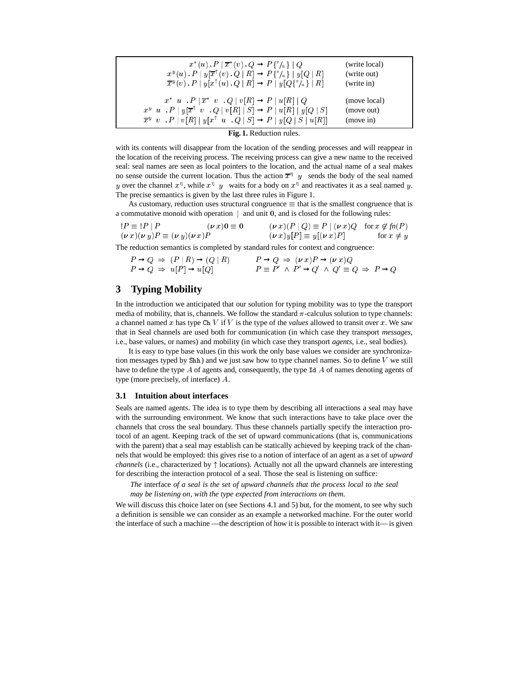| $x^*(u)$ . $P   \overline{x}^*(v)$ . $Q \rightarrow P\{^v\}_u   Q$                                                | (write local) |
|-------------------------------------------------------------------------------------------------------------------|---------------|
| $x^y(u)$ . $P \mid y[\overline{x}^{\uparrow}(v) \cdot Q \mid R] \rightarrow P\{^v\}'_u\} \mid y[Q \mid R]$        | (write out)   |
| $\overline{x}^y(v)$ . $P \mid y[x^{\uparrow}(u) \cdot Q \mid R] \rightarrow P \mid y[Q\{^v/a\} \mid R]$           | (write in)    |
| $x^*\{u\}$ . $P   \overline{x}^*\{v\}$ . $Q   v[R] \rightarrow P   u[R]   Q$                                      | (move local)  |
| $x^y \setminus u$ , $P   y[\overline{x}^{\uparrow} \setminus v$ , $Q   v[R]   S] \rightarrow P   u[R]   y[Q   S]$ | (move out)    |
| $\overline{x}^y \{v\}$ , $P   v[R]   y[x^{\uparrow} \{u\}$ , $Q   S] \rightarrow P   y[Q   S   u[R]]$             | (move in)     |

**Fig. 1.** Reduction rules.

with its contents will disappear from the location of the sending processes and will reappear in the location of the receiving process. The receiving process can give a new name to the received seal: seal names are seen as local pointers to the location, and the actual name of a seal makes no sense outside the current location. Thus the action  $\overline{x}^{\eta} \{y\}$  sends the body of the seal named y over the channel  $x^{\eta}$ , while  $x^{\eta} \{y\}$  waits for a body on  $x^{\eta}$  and reactivates it as a seal named y. The precise semantics is given by the last three rules in Figure 1.

As customary, reduction uses structural congruence  $\equiv$  that is the smallest congruence that is a commutative monoid with operation  $\parallel$  and unit 0, and is closed for the following rules:

| $P \equiv P   P$                         | $(\nu x)0 \equiv 0$ | $(\nu x)(P \mid Q) \equiv P \mid (\nu x)Q$ for $x \notin fn(P)$ |                |
|------------------------------------------|---------------------|-----------------------------------------------------------------|----------------|
| $(\nu x)(\nu y)P \equiv (\nu y)(\nu x)P$ |                     | $(\nu x)y[P] \equiv y[(\nu x)P]$                                | for $x \neq y$ |

The reduction semantics is completed by standard rules for context and congruence:

| $P \rightarrow Q \Rightarrow (P   R) \rightarrow (Q   R)$ | $P \rightarrow Q \Rightarrow (\nu x)P \rightarrow (\nu x)Q$                         |
|-----------------------------------------------------------|-------------------------------------------------------------------------------------|
| $P \rightarrow Q \Rightarrow u[P] \rightarrow u[Q]$       | $P \equiv P' \land P' \rightarrow Q' \land Q' \equiv Q \Rightarrow P \rightarrow Q$ |

## **3 Typing Mobility**

In the introduction we anticipated that our solution for typing mobility was to type the transport media of mobility, that is, channels. We follow the standard  $\pi$ -calculus solution to type channels: a channel named x has type Ch  $V$  if  $V$  is the type of the *values* allowed to transit over  $x$ . We saw that in Seal channels are used both for communication (in which case they transport *messages*, i.e., base values, or names) and mobility (in which case they transport *agents*, i.e., seal bodies).

It is easy to type base values (in this work the only base values we consider are synchronization messages typed by Shh) and we just saw how to type channel names. So to define  $V$  we still have to define the type A of agents and, consequently, the type Id A of names denoting agents of type (more precisely, of interface) A.

#### **3.1 Intuition about interfaces**

Seals are named agents. The idea is to type them by describing all interactions a seal may have with the surrounding environment. We know that such interactions have to take place over the channels that cross the seal boundary. Thus these channels partially specify the interaction protocol of an agent. Keeping track of the set of upward communications (that is, communications with the parent) that a seal may establish can be statically achieved by keeping track of the channels that would be employed: this gives rise to a notion of interface of an agent as a set of *upward channels* (i.e., characterized by  $\uparrow$  locations). Actually not all the upward channels are interesting for describing the interaction protocol of a seal. Those the seal is listening on suffice:

*The* interface *of a seal is the set of upward channels that the process local to the seal may be listening on, with the type expected from interactions on them.*

We will discuss this choice later on (see Sections 4.1 and 5) but, for the moment, to see why such a definition is sensible we can consider as an example a networked machine. For the outer world the interface of such a machine —the description of how it is possible to interact with it— is given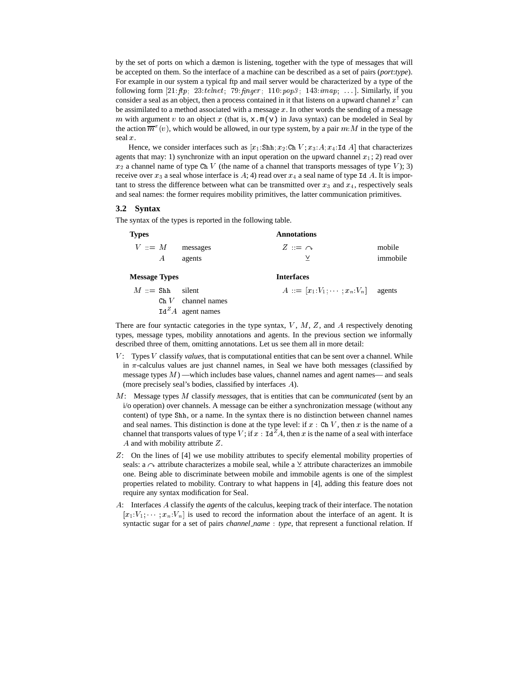by the set of ports on which a dæmon is listening, together with the type of messages that will be accepted on them. So the interface of a machine can be described as a set of pairs (*port*:*type*). For example in our system a typical ftp and mail server would be characterized by a type of the following form  $[21:ftp; 23:telnet; 79:fnqer; 110:pop3; 143:imap; \ldots]$ . Similarly, if you consider a seal as an object, then a process contained in it that listens on a upward channel  $x^{\uparrow}$  can be assimilated to a method associated with a message  $x$ . In other words the sending of a message m with argument v to an object x (that is,  $x \cdot m(v)$  in Java syntax) can be modeled in Seal by the action  $\overline{m}^x(v)$ , which would be allowed, in our type system, by a pair  $m:M$  in the type of the seal <sup>x</sup>.

Hence, we consider interfaces such as  $[x_1:\text{Shh}; x_2:\text{Ch } V; x_3:A; x_4:\text{Id } A]$  that characterizes agents that may: 1) synchronize with an input operation on the upward channel  $x_1$ ; 2) read over  $x_2$  a channel name of type Ch  $V$  (the name of a channel that transports messages of type  $V$ ); 3) receive over  $x_3$  a seal whose interface is  $A$ ; 4) read over  $x_4$  a seal name of type Id A. It is important to stress the difference between what can be transmitted over  $x_3$  and  $x_4$ , respectively seals and seal names: the former requires mobility primitives, the latter communication primitives.

#### **3.2 Syntax**

The syntax of the types is reported in the following table.

| <b>Types</b>       |                      | <b>Annotations</b>                                                |                    |
|--------------------|----------------------|-------------------------------------------------------------------|--------------------|
| $V ::= M$ messages | $\parallel$ A agents | $Z ::= \cap$<br>$\overline{\phantom{a}}$ $\overline{\phantom{a}}$ | mobile<br>immobile |

**Message Types** Interfaces

 $M ::=$  Shh silent  $A ::= [x_1 : V_1; \cdots; x_n : V_n]$  agents  $\vert$  Ch  $V$  channel names  $\vert$  Id<sup>Z</sup>A agent names

There are four syntactic categories in the type syntax,  $V, M, Z$ , and A respectively denoting types, message types, mobility annotations and agents. In the previous section we informally described three of them, omitting annotations. Let us see them all in more detail:

- $V:$  Types V classify *values*, that is computational entities that can be sent over a channel. While in  $\pi$ -calculus values are just channel names, in Seal we have both messages (classified by message types  $M$ ) —which includes base values, channel names and agent names— and seals (more precisely seal's bodies, classified by interfaces A).
- <sup>M</sup>: Message types <sup>M</sup> classify *messages*, that is entities that can be *communicated* (sent by an i/o operation) over channels. A message can be either a synchronization message (without any content) of type Shh, or a name. In the syntax there is no distinction between channel names and seal names. This distinction is done at the type level: if  $x :$  Ch  $V$ , then  $x$  is the name of a channel that transports values of type V; if  $x : \text{Id}^2 A$ , then x is the name of a seal with interface A and with mobility attribute <sup>Z</sup>.
- $Z$ : On the lines of [4] we use mobility attributes to specify elemental mobility properties of seals: a  $\sim$  attribute characterizes a mobile seal, while a  $\vee$  attribute characterizes an immobile one. Being able to discriminate between mobile and immobile agents is one of the simplest properties related to mobility. Contrary to what happens in [4], adding this feature does not require any syntax modification for Seal.
- A: Interfaces A classify the *agents* of the calculus, keeping track of their interface. The notation  $[x_1:V_1;\dots; x_n:V_n]$  is used to record the information about the interface of an agent. It is syntactic sugar for a set of pairs *channel name* : *type*, that represent a functional relation. If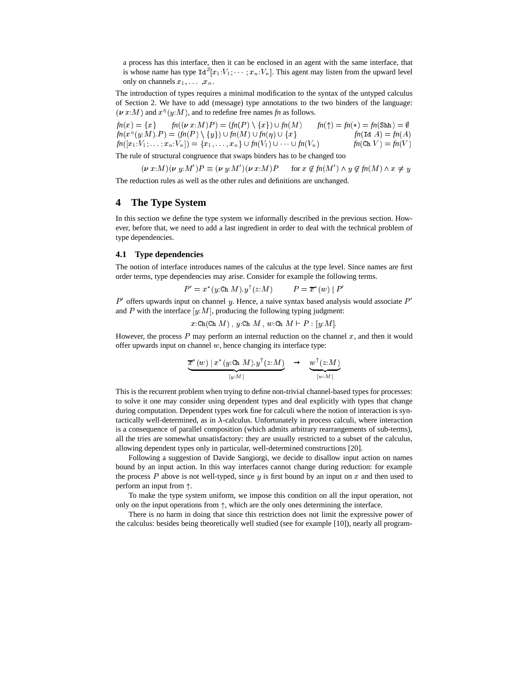a process has this interface, then it can be enclosed in an agent with the same interface, that is whose name has type  $Id^2[x_1:V_1;\cdots;x_n:V_n]$ . This agent may listen from the upward level only on channels  $x_1, \ldots, x_n$ .

The introduction of types requires a minimal modification to the syntax of the untyped calculus of Section 2. We have to add (message) type annotations to the two binders of the language:  $(\nu x:M)$  and  $x^{\eta}(y:M)$ , and to redefine free names *fn* as follows.

 $fn(x) = \{x\}$   $fn((\nu x:M)P) = (fn(P) \setminus \{x\}) \cup fn(M)$   $fn(\uparrow) = fn(*) = fn(\text{Shh}) = \emptyset$  $f_n(x^n(y:M).P) = (f_n(P) \setminus \{y\}) \cup f_n(M) \cup f_n(\eta) \cup \{x\}$  fn(Id A) =  $f_n(A)$  $fn([x_1:V_1; \ldots; x_n:V_n]) = \{x_1, \ldots, x_n\} \cup fn(V_1) \cup \cdots \cup fn(V_n)$  *fn*(Ch V) = *fn*(V)

The rule of structural congruence that swaps binders has to be changed too

$$
(\nu x:M)(\nu y:M')P \equiv (\nu y:M')(\nu x:M)P \quad \text{for } x \notin f_n(M') \land y \notin f_n(M) \land x \neq y
$$

The reduction rules as well as the other rules and definitions are unchanged.

## **4 The Type System**

In this section we define the type system we informally described in the previous section. However, before that, we need to add a last ingredient in order to deal with the technical problem of type dependencies.

#### **4.1 Type dependencies**

The notion of interface introduces names of the calculus at the type level. Since names are first order terms, type dependencies may arise. Consider for example the following terms.

$$
P' = x^*(y:\mathtt{Ch}\ M).y^\uparrow(z:M) \qquad P = \overline{x}^*(w) \mid P'
$$

 $P'$  offers upwards input on channel y. Hence, a naive syntax based analysis would associate  $P'$ and  $P$  with the interface  $[y:M]$ , producing the following typing judgment:

$$
x:\operatorname{Ch}(\operatorname{Ch} M), y:\operatorname{Ch} M, w:\operatorname{Ch} M \vdash P:[y:M].
$$

However, the process  $P$  may perform an internal reduction on the channel  $x$ , and then it would offer upwards input on channel  $w$ , hence changing its interface type:

$$
\frac{\overline{x}^*(w) \mid x^*(y:\mathtt{Ch}(M), y^\uparrow(z:M))}{[y:M]} \rightarrow \psi^\uparrow(z:M)
$$

This is the recurrent problem when trying to define non-trivial channel-based types for processes: to solve it one may consider using dependent types and deal explicitly with types that change during computation. Dependent types work fine for calculi where the notion of interaction is syntactically well-determined, as in  $\lambda$ -calculus. Unfortunately in process calculi, where interaction is a consequence of parallel composition (which admits arbitrary rearrangements of sub-terms), all the tries are somewhat unsatisfactory: they are usually restricted to a subset of the calculus, allowing dependent types only in particular, well-determined constructions [20].

Following a suggestion of Davide Sangiorgi, we decide to disallow input action on names bound by an input action. In this way interfaces cannot change during reduction: for example the process  $P$  above is not well-typed, since  $y$  is first bound by an input on  $x$  and then used to perform an input from  $\uparrow$ .

To make the type system uniform, we impose this condition on all the input operation, not only on the input operations from  $\uparrow$ , which are the only ones determining the interface.

There is no harm in doing that since this restriction does not limit the expressive power of the calculus: besides being theoretically well studied (see for example [10]), nearly all program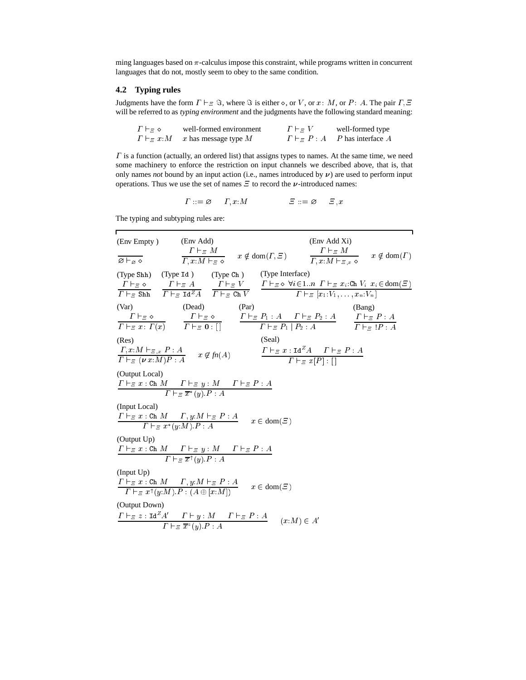ming languages based on  $\pi$ -calculus impose this constraint, while programs written in concurrent languages that do not, mostly seem to obey to the same condition.

## **4.2 Typing rules**

Judgments have the form  $\Gamma \vdash_{\Xi} \Im$ , where  $\Im$  is either  $\diamond$ , or  $V$ , or  $x : M$ , or  $P : A$ . The pair  $\Gamma, \Xi$ will be referred to as *typing environment* and the judgments have the following standard meaning:

| $\Gamma \vdash \equiv \diamond$ | well-formed environment                        | $\Gamma \vdash \vDash V$ | well-formed type                                    |
|---------------------------------|------------------------------------------------|--------------------------|-----------------------------------------------------|
|                                 | $\Gamma \vdash_{\Xi} x:M$ x has message type M |                          | $\Gamma \vdash_{\Xi} P : A \quad P$ has interface A |

 $\Gamma$  is a function (actually, an ordered list) that assigns types to names. At the same time, we need some machinery to enforce the restriction on input channels we described above, that is, that only names *not* bound by an input action (i.e., names introduced by  $\nu$ ) are used to perform input operations. Thus we use the set of names  $\varXi$  to record the  $\nu$  -introduced names:

$$
\Gamma ::= \varnothing \mid \Gamma, x : M \qquad \qquad \Xi ::= \varnothing \mid \Xi, x
$$

The typing and subtyping rules are:

| (Env Empty) (Env Add)                                                                                                                                                                                                                                                                           |                                                                         |        | (Env Add Xi) |                                                                                                                                                                                                                                                                                                                                                                                                                                                                    |
|-------------------------------------------------------------------------------------------------------------------------------------------------------------------------------------------------------------------------------------------------------------------------------------------------|-------------------------------------------------------------------------|--------|--------------|--------------------------------------------------------------------------------------------------------------------------------------------------------------------------------------------------------------------------------------------------------------------------------------------------------------------------------------------------------------------------------------------------------------------------------------------------------------------|
| $\overline{\varnothing \vdash_{\varnothing} \varphi}$ $\overline{\Gamma \vdash_{\varnothing} M \vdash_{\varnothing} \varphi}$ $x \notin \text{dom}(T, \varXi)$                                                                                                                                  |                                                                         |        |              | $\frac{\Gamma\vdash_{\varXi} M}{\Gamma,x:M\vdash_{\varXi,x} \diamond}\qquad x\notin\text{dom}(\Gamma)$                                                                                                                                                                                                                                                                                                                                                             |
|                                                                                                                                                                                                                                                                                                 |                                                                         |        |              |                                                                                                                                                                                                                                                                                                                                                                                                                                                                    |
| (Type Shh) (Type Id) (Type Ch) (Type Interface)                                                                                                                                                                                                                                                 |                                                                         |        |              |                                                                                                                                                                                                                                                                                                                                                                                                                                                                    |
|                                                                                                                                                                                                                                                                                                 |                                                                         |        |              | $\frac{\varGamma\vdash_\varXi \diamond}{\varGamma\vdash_\varXi \text{Shh}} \quad \frac{\varGamma\vdash_\varXi A}{\varGamma\vdash_\varXi \text{Id}^\mathbb{Z} A} \quad \frac{\varGamma\vdash_\varXi V}{\varGamma\vdash_\varXi \text{Ch }V} \quad \frac{\varGamma\vdash_{\varXi \diamond} \forall i\!\in\!\!1 n\;\varGamma\vdash_\varXi\ x_i\!:\!\mathrm{Ch } \ V_i\ x_i\!\in\!\mathrm{dom}(\varXi)}{\varGamma\vdash_\varXi \ [x_1\!:\!\!V_1,\ldots,x_n\!:\!\!V_n]}$ |
| (Var)                                                                                                                                                                                                                                                                                           | (Dead) (Par)                                                            |        |              | (Bang)                                                                                                                                                                                                                                                                                                                                                                                                                                                             |
| $\frac{\Gamma\vdash_\Xi\circ}{\Gamma\vdash_\Xi x:\Gamma(x)}\qquad \frac{\Gamma\vdash_\Xi\circ}{\Gamma\vdash_\Xi 0:[ } \qquad \frac{\Gamma\vdash_\Xi P_1:A\qquad \Gamma\vdash_\Xi P_2:A}{\Gamma\vdash_\Xi P_1\mid P_2:A}\qquad \frac{\Gamma\vdash_\Xi P:A}{\Gamma\vdash_\Xi\cdot P_1\mid P_2:A}$ |                                                                         |        |              |                                                                                                                                                                                                                                                                                                                                                                                                                                                                    |
| (Res)                                                                                                                                                                                                                                                                                           |                                                                         | (Seal) |              |                                                                                                                                                                                                                                                                                                                                                                                                                                                                    |
| $\frac{\Gamma,\,x:M\vdash_{\Xi,\,x} P:A}{\Gamma\vdash_{\Xi} (\nu\,x:M)P:A}\qquad x\notin\!fn(A)\qquad\qquad \frac{\Gamma\vdash_{\Xi} x:\mathrm{Id}^ZA\quad\Gamma\vdash_{\Xi} P:A}{\Gamma\vdash_{\Xi} x[P]: ]}$                                                                                  |                                                                         |        |              |                                                                                                                                                                                                                                                                                                                                                                                                                                                                    |
| (Output Local)                                                                                                                                                                                                                                                                                  |                                                                         |        |              |                                                                                                                                                                                                                                                                                                                                                                                                                                                                    |
| $\frac{\Gamma \vdash_{\Xi} x : \mathtt{Ch}\stackrel{\cdot}{M} \qquad \Gamma \vdash_{\Xi} y : M \qquad \Gamma \vdash_{\Xi} P : A}{P \vdash_{\neg x^*(a) \vdash D \dashv A}}$                                                                                                                     | $\Gamma \vdash_{\Xi} \overline{x}^*(y) . P : A$                         |        |              |                                                                                                                                                                                                                                                                                                                                                                                                                                                                    |
| (Input Local)                                                                                                                                                                                                                                                                                   |                                                                         |        |              |                                                                                                                                                                                                                                                                                                                                                                                                                                                                    |
|                                                                                                                                                                                                                                                                                                 |                                                                         |        |              |                                                                                                                                                                                                                                                                                                                                                                                                                                                                    |
| $\frac{\Gamma\vdash_{\Xi} x : \text{Ch }M\qquad \Gamma, y : M\vdash_{\Xi} P : A}{\Gamma\vdash_{\Xi} x^*(y : M).P : A} \qquad x \in \text{dom}(\Xi)$                                                                                                                                             |                                                                         |        |              |                                                                                                                                                                                                                                                                                                                                                                                                                                                                    |
| (Output Up)                                                                                                                                                                                                                                                                                     |                                                                         |        |              |                                                                                                                                                                                                                                                                                                                                                                                                                                                                    |
| $\frac{\Gamma\vdash_{\Xi} x:\mathrm{Ch}\;M\qquad \Gamma\vdash_{\Xi} y:M\qquad \Gamma\vdash_{\Xi} P:A}{\Gamma\vdash_{\Xi}\overline{x}\upharpoonright(u)\;P\cdot A}$                                                                                                                              |                                                                         |        |              |                                                                                                                                                                                                                                                                                                                                                                                                                                                                    |
|                                                                                                                                                                                                                                                                                                 | $\overline{\Gamma \vdash_{\Xi} \overline{x}^{\uparrow}(y) \cdot P : A}$ |        |              |                                                                                                                                                                                                                                                                                                                                                                                                                                                                    |
| (Input Up)                                                                                                                                                                                                                                                                                      |                                                                         |        |              |                                                                                                                                                                                                                                                                                                                                                                                                                                                                    |
| $\frac{\Gamma\vdash_{\varXi} x : \mathtt{Ch}\; M\qquad \Gamma, y : M\vdash_{\varXi} P : A}{\Gamma\vdash_{\varXi} x^{\uparrow}(y : M).P : (A\oplus[x:M])} \qquad x\in\text{dom}(\varXi)$                                                                                                         |                                                                         |        |              |                                                                                                                                                                                                                                                                                                                                                                                                                                                                    |
| (Output Down)                                                                                                                                                                                                                                                                                   |                                                                         |        |              |                                                                                                                                                                                                                                                                                                                                                                                                                                                                    |
| $\frac{\Gamma\vdash_{\Xi} z:\mathrm{Id}^ZA'\quad\Gamma\vdash y:M\quad\Gamma\vdash_{\Xi} P:A}{\Gamma\vdash_{\Xi} \overline{x}^z(y).P:A}\qquad (x:M)\in A'$                                                                                                                                       |                                                                         |        |              |                                                                                                                                                                                                                                                                                                                                                                                                                                                                    |
|                                                                                                                                                                                                                                                                                                 |                                                                         |        |              |                                                                                                                                                                                                                                                                                                                                                                                                                                                                    |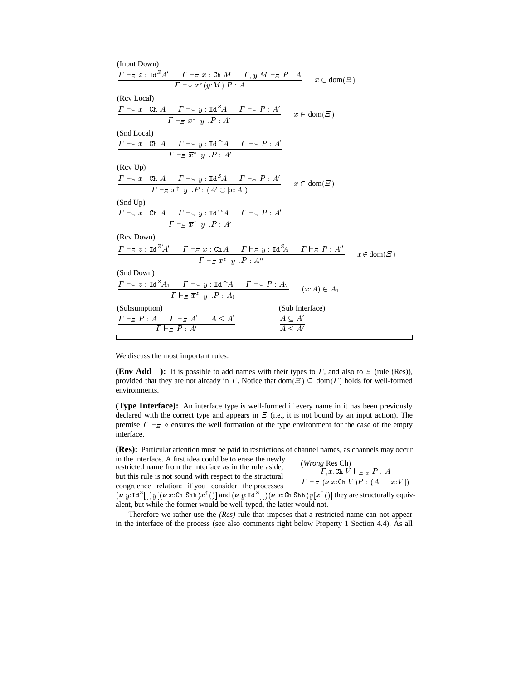| (Input Down)                                                                                                                                                                                                                                                                                                                                                                   |
|--------------------------------------------------------------------------------------------------------------------------------------------------------------------------------------------------------------------------------------------------------------------------------------------------------------------------------------------------------------------------------|
| $\frac{\varGamma\vdash_{\varXi} z:\mathrm{Id}^ZA'\quad\varGamma\vdash_{\varXi} x:\mathrm{Ch}\;M\quad\varGamma,y:M\vdash_{\varXi} P:A}{\stackrel{\tau\vdash_{\varXi} \vdash_{\varGamma} x:\lambda\vdash_{\varGamma} x\land\varGamma\vdash_{\varGamma} A}{\cdot\;\varGamma\vdash_{\varGamma} x\land\varGamma\vdash_{\varGamma} x\land\varGamma}}\qquad x\in\mathrm{dom}(\varXi)$ |
| $\Gamma \vdash_{\Xi} x^{\overline{z}}(y:M) \cdot P : A$                                                                                                                                                                                                                                                                                                                        |
| (Rev Local)                                                                                                                                                                                                                                                                                                                                                                    |
| $\frac{\Gamma \vdash_{\Xi} x : \texttt{Ch} \ A \qquad \Gamma \vdash_{\Xi} y : \texttt{Id}^Z A \qquad \Gamma \vdash_{\Xi} P : A'}{\Gamma \vdash_{\Xi} x^* \{y\} \cdot P : A'} \qquad x \in \texttt{dom}(\Xi)$                                                                                                                                                                   |
|                                                                                                                                                                                                                                                                                                                                                                                |
| (Snd Local)                                                                                                                                                                                                                                                                                                                                                                    |
| $\Gamma \vdash_{\Xi} x : \mathtt{Ch} A \quad \Gamma \vdash_{\Xi} y : \mathtt{Id}^{\smallfrown} A \quad \Gamma \vdash_{\Xi} P : A'$                                                                                                                                                                                                                                             |
| $\Gamma \vdash \pi \overline{x}^* \{u\} \cdot P : A'$                                                                                                                                                                                                                                                                                                                          |
| (Rev Up)                                                                                                                                                                                                                                                                                                                                                                       |
| $\frac{\varGamma\vdash_\varXi x:\mathtt{Ch}\;A\qquad\varGamma\vdash_\varXi y:\mathtt{Id}^Z\!A\qquad\varGamma\vdash_\varXi P:A'}{\varGamma\vdash_\varXi x^\uparrow\big\{y\big\}.\varP:(A'\oplus[x:A])\qquad x\in\text{dom}(\varXi)}$                                                                                                                                            |
|                                                                                                                                                                                                                                                                                                                                                                                |
| (Snd Up)                                                                                                                                                                                                                                                                                                                                                                       |
| $\Gamma \vdash_{\Xi} x : \mathtt{Ch}\ A \quad \Gamma \vdash_{\Xi} y : \mathtt{Id}^{\curvearrowright} A \quad \Gamma \vdash_{\Xi} P : A'$                                                                                                                                                                                                                                       |
| $\Gamma \vdash \equiv \overline{x} \uparrow \{u\} P : A'$                                                                                                                                                                                                                                                                                                                      |
| (Rev Down)                                                                                                                                                                                                                                                                                                                                                                     |
| $\Gamma \vdash_{\Xi} z : \text{Id}^{Z'} A' \xrightarrow{\qquad} \Gamma \vdash_{\Xi} x : \texttt{Ch} \, A \xrightarrow{\qquad} \Gamma \vdash_{\Xi} y : \texttt{Id}^{Z} \! A \xrightarrow{\qquad} \Gamma \vdash_{\Xi} P : A'' \xrightarrow{\qquad} x \in \text{dom}(\Xi)$                                                                                                        |
| $\Gamma \vdash \exists x^2 \{y\} \cdot P : A''$                                                                                                                                                                                                                                                                                                                                |
| (Snd Down)                                                                                                                                                                                                                                                                                                                                                                     |
| $\frac{\Gamma\vdash_{\Xi} z:\mathrm{Id}^ZA_1\quad\Gamma\vdash_{\Xi} y:\mathrm{Id}^{\curvearrowright}A\quad\Gamma\vdash_{\Xi} P:A_2}{\cdot} \qquad (x:A)\in A_1$                                                                                                                                                                                                                |
| $\Gamma \vdash_{\Xi} \overline{x}^z \{y\} P : A_1$                                                                                                                                                                                                                                                                                                                             |
| (Subsumption)<br>(Sub Interface)                                                                                                                                                                                                                                                                                                                                               |
| $\frac{\Gamma \vdash_{\Xi} P:A \quad \Gamma \vdash_{\Xi} A' \quad A \leq A'}{\Gamma \vdash_{\Xi} P:A'}$<br>$\frac{A \subseteq A'}{A \leq A'}$                                                                                                                                                                                                                                  |
|                                                                                                                                                                                                                                                                                                                                                                                |

We discuss the most important rules:

**(Env Add**  $\Box$ ): It is possible to add names with their types to  $\Gamma$ , and also to  $\Xi$  (rule (Res)), provided that they are not already in  $\Gamma$ . Notice that  $dom(\Xi) \subseteq dom(\Gamma)$  holds for well-formed environments.

**(Type Interface):** An interface type is well-formed if every name in it has been previously declared with the correct type and appears in  $E$  (i.e., it is not bound by an input action). The premise  $\Gamma \vdash_{\Xi} \diamond$  ensures the well formation of the type environment for the case of the empty interface.

**(Res):** Particular attention must be paid to restrictions of channel names, as channels may occur in the interface. A first idea could be to erase the newly

restricted name from the interface as in the rule aside, but this rule is not sound with respect to the structural congruence relation: if you consider the processes (*Wrong* Res Ch)  $\varGamma, x$ :Ch  $V \vdash_{\varXi, x} P : A$  $\Gamma \vdash_{\Xi} (\nu x:\mathtt{Ch} V)P : (A - [x:V])$ 

 $(\nu y:\text{Id}^Z[\,])y[(\nu x:\text{Ch} \text{ Shh})x^\top(\,)]$  and  $(\nu y:\text{Id}^Z[\,])(\nu x:\text{Ch} \text{ Shh})y[x^\top(\,)]$  they are structurally equivalent, but while the former would be well-typed, the latter would not.

Therefore we rather use the *(Res)* rule that imposes that a restricted name can not appear in the interface of the process (see also comments right below Property 1 Section 4.4). As all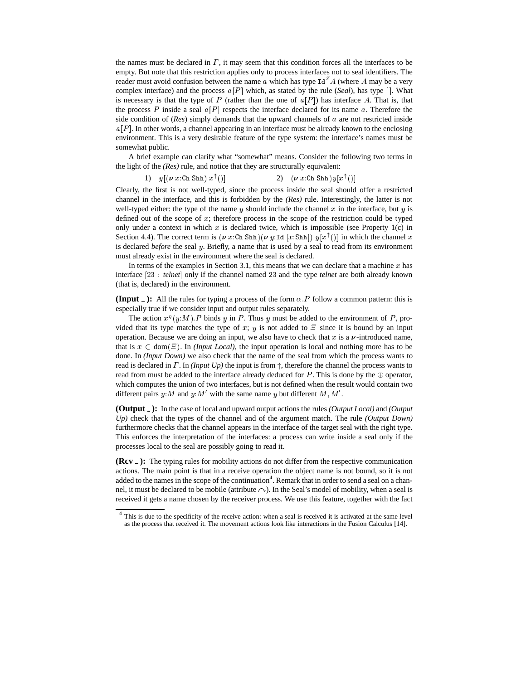the names must be declared in  $\Gamma$ , it may seem that this condition forces all the interfaces to be empty. But note that this restriction applies only to process interfaces not to seal identifiers. The reader must avoid confusion between the name a which has type  $Id^Z A$  (where A may be a very complex interface) and the process  $a[P]$  which, as stated by the rule (*Seal*), has type []. What is necessary is that the type of P (rather than the one of  $a[P]$ ) has interface A. That is, that the process P inside a seal  $a[P]$  respects the interface declared for its name a. Therefore the side condition of (*Res*) simply demands that the upward channels of <sup>a</sup> are not restricted inside  $a[P]$ . In other words, a channel appearing in an interface must be already known to the enclosing environment. This is a very desirable feature of the type system: the interface's names must be somewhat public.

A brief example can clarify what "somewhat" means. Consider the following two terms in the light of the *(Res)* rule, and notice that they are structurally equivalent:

1)  $y[(\nu x:\text{Ch Shh}) x^{\uparrow}()]$ ()]  $( \nu x : \text{Ch} \; \text{Shh}) y[x^{\uparrow}() ]$ 

Clearly, the first is not well-typed, since the process inside the seal should offer a restricted channel in the interface, and this is forbidden by the *(Res)* rule. Interestingly, the latter is not well-typed either: the type of the name  $y$  should include the channel  $x$  in the interface, but  $y$  is defined out of the scope of  $x$ ; therefore process in the scope of the restriction could be typed only under a context in which  $x$  is declared twice, which is impossible (see Property 1(c) in Section 4.4). The correct term is  $(\nu x:\text{Ch Shh})(\nu y:\text{Id } [x:\text{Shh}]) y[x^{\top}])$  in which the channel x is declared *before* the seal <sup>y</sup>. Briefly, a name that is used by a seal to read from its environment must already exist in the environment where the seal is declared.

In terms of the examples in Section 3.1, this means that we can declare that a machine  $x$  has interface [23 : *telnet*] only if the channel named <sup>23</sup> and the type *telnet* are both already known (that is, declared) in the environment.

**(Input**  $\Box$ ): All the rules for typing a process of the form  $\alpha$ . P follow a common pattern: this is especially true if we consider input and output rules separately.

The action  $x^{\eta}(y:M)$ . P binds y in P. Thus y must be added to the environment of P, provided that its type matches the type of x; y is not added to  $\Xi$  since it is bound by an input operation. Because we are doing an input, we also have to check that x is a  $\nu$ -introduced name, that is  $x \in \text{dom}(\Xi)$ . In *(Input Local)*, the input operation is local and nothing more has to be done. In *(Input Down)* we also check that the name of the seal from which the process wants to read is declared in  $\Gamma$ . In *(Input Up)* the input is from  $\uparrow$ , therefore the channel the process wants to read from must be added to the interface already deduced for  $P$ . This is done by the  $\oplus$  operator, which computes the union of two interfaces, but is not defined when the result would contain two different pairs y:M and y:M' with the same name y but different M, M'.

**(Output ):** In the case of local and upward output actions the rules *(Output Local)* and *(Output Up)* check that the types of the channel and of the argument match. The rule *(Output Down)* furthermore checks that the channel appears in the interface of the target seal with the right type. This enforces the interpretation of the interfaces: a process can write inside a seal only if the processes local to the seal are possibly going to read it.

**(Rcv ):** The typing rules for mobility actions do not differ from the respective communication actions. The main point is that in a receive operation the object name is not bound, so it is not added to the names in the scope of the continuation<sup>4</sup>. Remark that in order to send a seal on a channel, it must be declared to be mobile (attribute  $\sim$ ). In the Seal's model of mobility, when a seal is received it gets a name chosen by the receiver process. We use this feature, together with the fact

 $4$  This is due to the specificity of the receive action: when a seal is received it is activated at the same level as the process that received it. The movement actions look like interactions in the Fusion Calculus [14].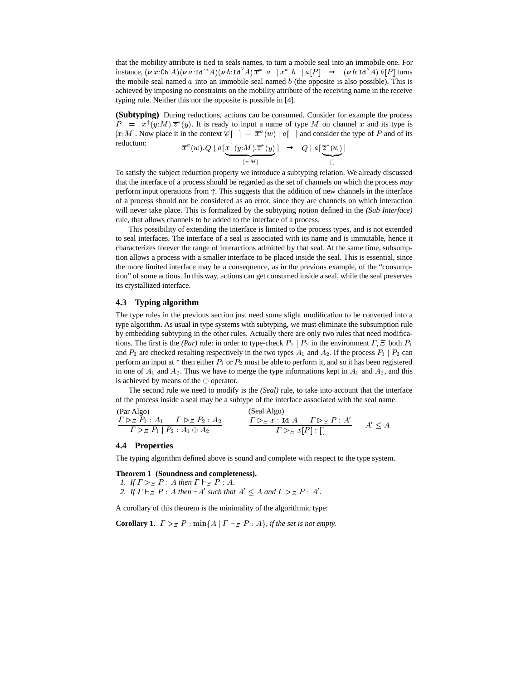that the mobility attribute is tied to seals names, to turn a mobile seal into an immobile one. For instance,  $(\nu x:\text{Ch }A)(\nu a:\text{Id}^{\sim}A)(\nu b:\text{Id}^{\perp}A)\overline{x}^{*}\overline{\{a\}}\mid x^{*}\overline{\{b\}}\mid a[P] \rightarrow (\nu b:\text{Id}^{\perp}A) b[P]$  turns the mobile seal named  $\alpha$  into an immobile seal named  $\beta$  (the opposite is also possible). This is achieved by imposing no constraints on the mobility attribute of the receiving name in the receive typing rule. Neither this nor the opposite is possible in [4].

**(Subtyping)** During reductions, actions can be consumed. Consider for example the process  $P = x^{\uparrow}(y:M).\overline{z}^*(y)$ . It is ready to input a name of type M on channel x and its type is  $[x:M]$ . Now place it in the context  $\mathcal{C}[-] = \overline{x}^a(w) |a[-]$  and consider the type of P and of its reductum:

$$
\overline{x}^{a}(w).Q \mid a[\underbrace{x^{\uparrow}(y:M).\overline{z}^{*}(y)}_{[x:M]}] \rightarrow Q \mid a[\underbrace{\overline{z}^{*}(w)}_{[1]}]
$$

To satisfy the subject reduction property we introduce a subtyping relation. We already discussed that the interface of a process should be regarded as the set of channels on which the process *may* perform input operations from  $\uparrow$ . This suggests that the addition of new channels in the interface of a process should not be considered as an error, since they are channels on which interaction will never take place. This is formalized by the subtyping notion defined in the *(Sub Interface)* rule, that allows channels to be added to the interface of a process.

This possibility of extending the interface is limited to the process types, and is not extended to seal interfaces. The interface of a seal is associated with its name and is immutable, hence it characterizes forever the range of interactions admitted by that seal. At the same time, subsumption allows a process with a smaller interface to be placed inside the seal. This is essential, since the more limited interface may be a consequence, as in the previous example, of the "consumption" of some actions. In this way, actions can get consumed inside a seal, while the seal preserves its crystallized interface.

#### **4.3 Typing algorithm**

The type rules in the previous section just need some slight modification to be converted into a type algorithm. As usual in type systems with subtyping, we must eliminate the subsumption rule by embedding subtyping in the other rules. Actually there are only two rules that need modifications. The first is the *(Par)* rule: in order to type-check  $P_1 \mid P_2$  in the environment  $\Gamma$ ,  $\Xi$  both  $P_1$ and  $P_2$  are checked resulting respectively in the two types  $A_1$  and  $A_2$ . If the process  $P_1 \nvert P_2$  can perform an input at  $\uparrow$  then either  $P_1$  or  $P_2$  must be able to perform it, and so it has been registered in one of  $A_1$  and  $A_2$ . Thus we have to merge the type informations kept in  $A_1$  and  $A_2$ , and this is achieved by means of the  $\oplus$  operator.

The second rule we need to modify is the *(Seal)* rule, to take into account that the interface of the process inside a seal may be a subtype of the interface associated with the seal name.  $(D_{\text{max}} \land 1_{\text{max}})$  $(0, 1, 1, 1, 0)$ 

$$
\frac{\Gamma \rhd_{\Xi} P_1: A_1 \quad \Gamma \rhd_{\Xi} P_2: A_2}{\Gamma \rhd_{\Xi} P_1 \mid P_2: A_1 \oplus A_2} \qquad \qquad \frac{\Gamma \rhd_{\Xi} x: \text{Id } A \quad \Gamma \rhd_{\Xi} P: A'}{\Gamma \rhd_{\Xi} x[P]:[]} \qquad A' \le A
$$

#### **4.4 Properties**

The typing algorithm defined above is sound and complete with respect to the type system.

#### **Theorem 1 (Soundness and completeness).**

*1.* If  $\Gamma \triangleright_{\Xi} P$  : A then  $\Gamma \vdash_{\Xi} P$  : A. 2. If  $\Gamma \vdash_{\Xi} P$  : A then  $\exists A'$  such that  $A' \leq A$  and  $\Gamma \rhd_{\Xi} P$  : A'.

A corollary of this theorem is the minimality of the algorithmic type:

**Corollary 1.**  $\Gamma \trianglerighteq E$  :  $\min\{A \mid \Gamma \vdash E \cap P : A\}$ , if the set is not empty.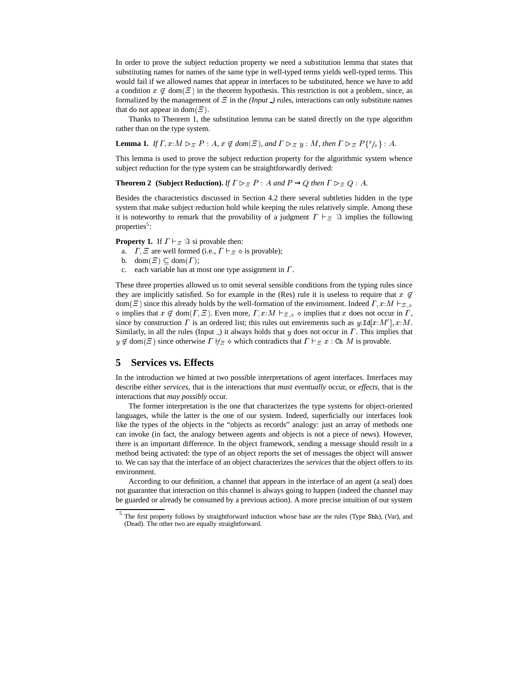In order to prove the subject reduction property we need a substitution lemma that states that substituting names for names of the same type in well-typed terms yields well-typed terms. This would fail if we allowed names that appear in interfaces to be substituted, hence we have to add a condition  $x \notin \text{dom}(\Xi)$  in the theorem hypothesis. This restriction is not a problem, since, as formalized by the management of  $\Xi$  in the *(Input*  $\Box$ ) rules, interactions can only substitute names that do not appear in dom $(\Xi)$ .

Thanks to Theorem 1, the substitution lemma can be stated directly on the type algorithm rather than on the type system.

**Lemma 1.** If  $\Gamma, x: M \rhd_{\Xi} P : A, x \notin dom(\Xi), and \Gamma \rhd_{\Xi} y : M, then \Gamma \rhd_{\Xi} P\{^y/x\} : A$ .

This lemma is used to prove the subject reduction property for the algorithmic system whence subject reduction for the type system can be straightforwardly derived:

**Theorem 2** (Subject Reduction). *If*  $\Gamma \triangleright \varnothing P$  : A and  $P \rightarrow Q$  then  $\Gamma \triangleright \varnothing Q$  : A.

Besides the characteristics discussed in Section 4.2 there several subtleties hidden in the type system that make subject reduction hold while keeping the rules relatively simple. Among these it is noteworthy to remark that the provability of a judgment  $\Gamma \vdash_{\Xi} \Im$  implies the following properties<sup>5</sup>:

**Property 1.** If  $\Gamma \vdash_{\Xi} \Im$  si provable then:

- a.  $\Gamma$ ,  $\Xi$  are well formed (i.e.,  $\Gamma \vdash_{\Xi} \diamond$  is provable);
- b. dom $(\Xi) \subseteq$  dom $(\Gamma)$ ;
- c. each variable has at most one type assignment in  $\Gamma$ .

These three properties allowed us to omit several sensible conditions from the typing rules since they are implicitly satisfied. So for example in the (Res) rule it is useless to require that  $x \notin$ dom( $\Xi$ ) since this already holds by the well-formation of the environment. Indeed  $\Gamma$ ,  $x:M \vdash_{\Xi,x}$  $\infty$  implies that  $x \notin \text{dom}(F, \Xi)$ . Even more,  $F, x:M \vdash_{\Xi, x} \infty$  implies that x does not occur in  $F$ , since by construction  $\Gamma$  is an ordered list; this rules out envirements such as  $y:\text{Id}[x:M']$ ,  $x:M$ . Similarly, in all the rules (Input  $\Box$ ) it always holds that y does not occur in  $\Gamma$ . This implies that  $y \notin \text{dom}(\Xi)$  since otherwise  $\Gamma \nvdash_{\Xi} \infty$  which contradicts that  $\Gamma \vdash_{\Xi} x$  : Ch M is provable.

## **5 Services vs. Effects**

In the introduction we hinted at two possible interpretations of agent interfaces. Interfaces may describe either *services*, that is the interactions that *must eventually* occur, or *effects*, that is the interactions that *may possibly* occur.

The former interpretation is the one that characterizes the type systems for object-oriented languages, while the latter is the one of our system. Indeed, superficially our interfaces look like the types of the objects in the "objects as records" analogy: just an array of methods one can invoke (in fact, the analogy between agents and objects is not a piece of news). However, there is an important difference. In the object framework, sending a message should result in a method being activated: the type of an object reports the set of messages the object will answer to. We can say that the interface of an object characterizes the *services* that the object offers to its environment.

According to our definition, a channel that appears in the interface of an agent (a seal) does not guarantee that interaction on this channel is always going to happen (indeed the channel may be guarded or already be consumed by a previous action). A more precise intuition of our system

 $<sup>5</sup>$  The first property follows by straightforward induction whose base are the rules (Type Shh), (Var), and</sup> (Dead). The other two are equally straightforward.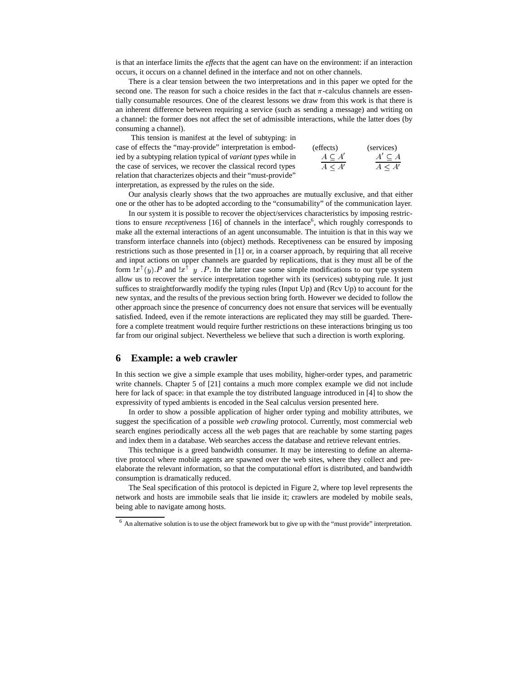is that an interface limits the *effects* that the agent can have on the environment: if an interaction occurs, it occurs on a channel defined in the interface and not on other channels.

There is a clear tension between the two interpretations and in this paper we opted for the second one. The reason for such a choice resides in the fact that  $\pi$ -calculus channels are essentially consumable resources. One of the clearest lessons we draw from this work is that there is an inherent difference between requiring a service (such as sending a message) and writing on a channel: the former does not affect the set of admissible interactions, while the latter does (by consuming a channel).

This tension is manifest at the level of subtyping: in case of effects the "may-provide" interpretation is embodied by a subtyping relation typical of *variant types* while in the case of services, we recover the classical record types relation that characterizes objects and their "must-provide" interpretation, as expressed by the rules on the side.

| (effects)        | (services)       |
|------------------|------------------|
| $A \subseteq A'$ | $A' \subseteq A$ |
| $A \leq A'$      | $A \leq A'$      |

Our analysis clearly shows that the two approaches are mutually exclusive, and that either one or the other has to be adopted according to the "consumability" of the communication layer.

In our system it is possible to recover the object/services characteristics by imposing restrictions to ensure *receptiveness* [16] of channels in the interface<sup>6</sup>, which roughly corresponds to make all the external interactions of an agent unconsumable. The intuition is that in this way we transform interface channels into (object) methods. Receptiveness can be ensured by imposing restrictions such as those presented in [1] or, in a coarser approach, by requiring that all receive and input actions on upper channels are guarded by replications, that is they must all be of the form  $|x^{\uparrow}(y) \cdot P$  and  $|x^{\uparrow}(y) \cdot P$ . In the latter case some simple modifications to our type system allow us to recover the service interpretation together with its (services) subtyping rule. It just suffices to straightforwardly modify the typing rules (Input Up) and (Rcv Up) to account for the new syntax, and the results of the previous section bring forth. However we decided to follow the other approach since the presence of concurrency does not ensure that services will be eventually satisfied. Indeed, even if the remote interactions are replicated they may still be guarded. Therefore a complete treatment would require further restrictions on these interactions bringing us too far from our original subject. Nevertheless we believe that such a direction is worth exploring.

## **6 Example: a web crawler**

In this section we give a simple example that uses mobility, higher-order types, and parametric write channels. Chapter 5 of [21] contains a much more complex example we did not include here for lack of space: in that example the toy distributed language introduced in [4] to show the expressivity of typed ambients is encoded in the Seal calculus version presented here.

In order to show a possible application of higher order typing and mobility attributes, we suggest the specification of a possible *web crawling* protocol. Currently, most commercial web search engines periodically access all the web pages that are reachable by some starting pages and index them in a database. Web searches access the database and retrieve relevant entries.

This technique is a greed bandwidth consumer. It may be interesting to define an alternative protocol where mobile agents are spawned over the web sites, where they collect and preelaborate the relevant information, so that the computational effort is distributed, and bandwidth consumption is dramatically reduced.

The Seal specification of this protocol is depicted in Figure 2, where top level represents the network and hosts are immobile seals that lie inside it; crawlers are modeled by mobile seals, being able to navigate among hosts.

<sup>6</sup> An alternative solution is to use the object framework but to give up with the "must provide" interpretation.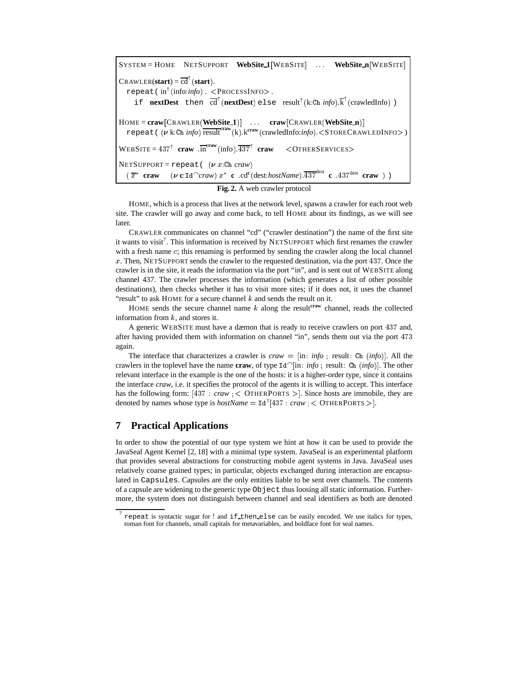| SYSTEM = HOME   NETSUPPORT   WebSite_1 [WEBSITE]      WebSite_n [WEBSITE]                                                                                                                                                                                                                                                                  |
|--------------------------------------------------------------------------------------------------------------------------------------------------------------------------------------------------------------------------------------------------------------------------------------------------------------------------------------------|
| $C_{\text{RAWLER}}(\text{start}) = \overline{\text{cd}}^{\uparrow}(\text{start}).$<br>repeat ( $\inf(\inf \circ \text{info})$ . <processinfo>.<br/>if <b>nextDest</b> then <math>\overline{cd}^{\dagger}</math>(<b>nextDest</b>) else result<sup>†</sup>(k:Ch <i>info</i>).<math>\overline{k}^{\dagger}</math>(crawledInfo))</processinfo> |
| $HOME = \text{craw}[\text{CRAWLER}(\text{WebSite\_1})] \mid  \mid \text{craw}[\text{CRAWLER}(\text{WebSite\_n})] \mid$<br>repeat ( $(\nu \text{ k:Ch }info)$ result $\text{craw}(k)$ , $k^{\text{craw}}(crawledInfo:info)$ , <storecrawledinfo>)</storecrawledinfo>                                                                        |
| WEBSITE = $437^{\dagger}$ craw $\frac{1}{2}$ in $\frac{1}{2}$ in $\frac{1}{2}$ (info). $\frac{1}{437}$ $\frac{1}{2}$ craw $\frac{1}{2}$ < OTHERSERVICES >                                                                                                                                                                                  |
| NETSUPPORT = repeat $(\nu x)$ : Ch craw)<br>$(\overline{x}^*\{craw\}   (\nu c:Id^craw) x^*\{c\}.cd^c(dest:hostName).437^{dest}\{c\}.437^{dest}\{craw\})$                                                                                                                                                                                   |



HOME, which is a process that lives at the network level, spawns a crawler for each root web site. The crawler will go away and come back, to tell HOME about its findings, as we will see later.

CRAWLER communicates on channel "cd" ("crawler destination") the name of the first site it wants to visit<sup>7</sup>. This information is received by NETSUPPORT which first renames the crawler with a fresh name c; this renaming is performed by sending the crawler along the local channel  $x$ . Then, NETSUPPORT sends the crawler to the requested destination, via the port 437. Once the crawler is in the site, it reads the information via the port "in", and is sent out of WEBSITE along channel 437. The crawler processes the information (which generates a list of other possible destinations), then checks whether it has to visit more sites; if it does not, it uses the channel "result" to ask HOME for a secure channel  $k$  and sends the result on it.

HOME sends the secure channel name  $k$  along the result<sup>craw</sup> channel, reads the collected information from  $k$ , and stores it.

A generic WEBSITE must have a dæmon that is ready to receive crawlers on port <sup>437</sup> and, after having provided them with information on channel "in", sends them out via the port <sup>473</sup> again.

The interface that characterizes a crawler is  $craw = [\text{in} : \text{info} : \text{result} : \text{Ch} (\text{info})]$ . All the crawlers in the toplevel have the name **craw**, of type  $Id^{\frown}$ [in: *info* ; result: Ch (*info*)]. The other relevant interface in the example is the one of the hosts: it is a higher-order type, since it contains the interface *craw*, i.e. it specifies the protocol of the agents it is willing to accept. This interface has the following form: [437 : *craw* ; < OTHERPORTS > ]. Since hosts are immobile, they are denoted by names whose type is  $hostName = Id^{\times}[437 : craw] <$  OTHERPORTS >.

## **7 Practical Applications**

In order to show the potential of our type system we hint at how it can be used to provide the JavaSeal Agent Kernel [2, 18] with a minimal type system. JavaSeal is an experimental platform that provides several abstractions for constructing mobile agent systems in Java. JavaSeal uses relatively coarse grained types; in particular, objects exchanged during interaction are encapsulated in Capsules. Capsules are the only entities liable to be sent over channels. The contents of a capsule are widening to the generic type Object thus loosing all static information. Furthermore, the system does not distinguish between channel and seal identifiers as both are denoted

<sup>7</sup> repeat is syntactic sugar for ! and if then else can be easily encoded. We use italics for types, roman font for channels, small capitals for metavariables, and boldface font for seal names.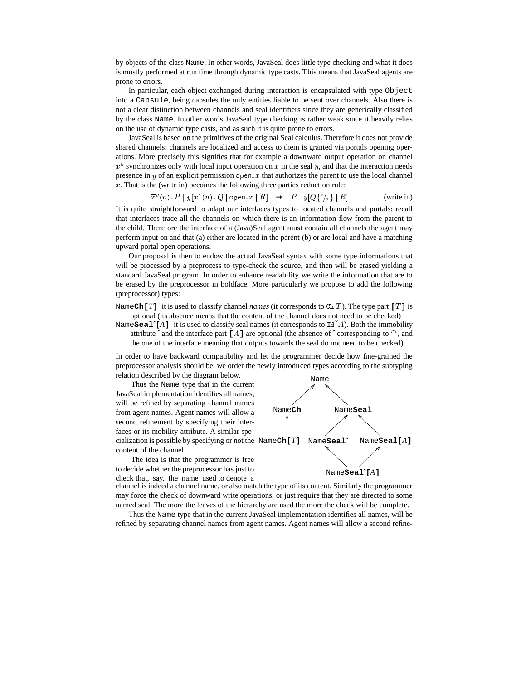by objects of the class Name. In other words, JavaSeal does little type checking and what it does is mostly performed at run time through dynamic type casts. This means that JavaSeal agents are prone to errors.

In particular, each object exchanged during interaction is encapsulated with type Object into a Capsule, being capsules the only entities liable to be sent over channels. Also there is not a clear distinction between channels and seal identifiers since they are generically classified by the class Name. In other words JavaSeal type checking is rather weak since it heavily relies on the use of dynamic type casts, and as such it is quite prone to errors.

JavaSeal is based on the primitives of the original Seal calculus. Therefore it does not provide shared channels: channels are localized and access to them is granted via portals opening operations. More precisely this signifies that for example a downward output operation on channel  $x^y$  synchronizes only with local input operation on x in the seal y, and that the interaction needs presence in y of an explicit permission open<sub> $x$ </sub> that authorizes the parent to use the local channel  $x$ . That is the (write in) becomes the following three parties reduction rule:

 $\overline{x}^y(v)$ .  $P \mid y[x^*(u)$ .  $Q \mid \text{open}_\tau x \mid R] \rightarrow P \mid y[Q\{v/u\} \mid R]$  (write in)

It is quite straightforward to adapt our interfaces types to located channels and portals: recall that interfaces trace all the channels on which there is an information flow from the parent to the child. Therefore the interface of a (Java)Seal agent must contain all channels the agent may perform input on and that (a) either are located in the parent (b) or are local and have a matching upward portal open operations.

Our proposal is then to endow the actual JavaSeal syntax with some type informations that will be processed by a preprocess to type-check the source, and then will be erased yielding a standard JavaSeal program. In order to enhance readability we write the information that are to be erased by the preprocessor in boldface. More particularly we propose to add the following (preprocessor) types:

Name $Ch$ [*T*] it is used to classify channel *names* (it corresponds to Ch *T*). The type part [*T*] is optional (its absence means that the content of the channel does not need to be checked)

Name**Seal^[A]** it is used to classify seal names (it corresponds to Id<sup>*\*</sup>A*). Both the immobility</sup> attribute  $\hat{}$  and the interface part [A] are optional (the absence of  $\hat{}$  corresponding to  $\hat{}$ , and the one of the interface meaning that outputs towards the seal do not need to be checked).

In order to have backward compatibility and let the programmer decide how fine-grained the preprocessor analysis should be, we order the newly introduced types according to the subtyping relation described by the diagram below.

Thus the Name type that in the current JavaSeal implementation identifies all names, will be refined by separating channel names from agent names. Agent names will allow a second refinement by specifying their interfaces or its mobility attribute. A similar specialization is possible by specifying or not the Name**Ch[**T**]** content of the channel. The idea is that the programmer is free Name**Ch** . . Name**Seal**  $\sim$ <sup>A</sup> <sup>A</sup> <sup>A</sup> <sup>A</sup> <sup>A</sup> <sup>A</sup> <sup>A</sup> Name**Sealˆ** .,  $\sim$ <sup>A</sup> <sup>A</sup> <sup>A</sup> <sup>A</sup>  $\overline{\phantom{a}}$ @ @ @ @ @

to decide whether the preprocessor has just to check that, say, the name used to denote a



channel is indeed a channel name, or also match the type of its content. Similarly the programmer may force the check of downward write operations, or just require that they are directed to some named seal. The more the leaves of the hierarchy are used the more the check will be complete.

Thus the Name type that in the current JavaSeal implementation identifies all names, will be refined by separating channel names from agent names. Agent names will allow a second refine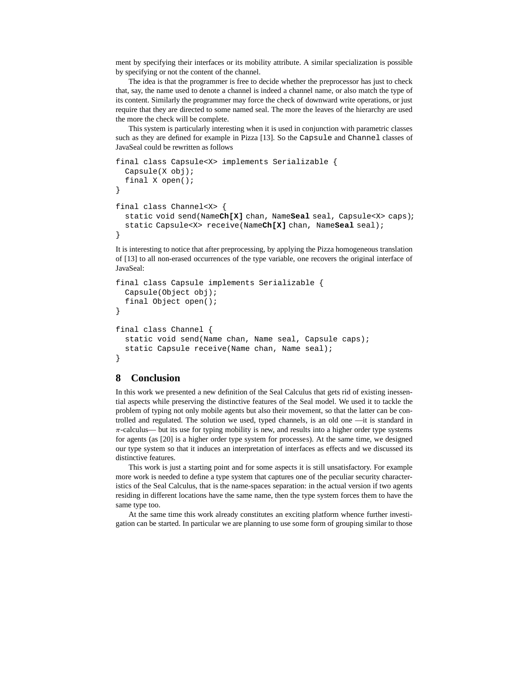ment by specifying their interfaces or its mobility attribute. A similar specialization is possible by specifying or not the content of the channel.

The idea is that the programmer is free to decide whether the preprocessor has just to check that, say, the name used to denote a channel is indeed a channel name, or also match the type of its content. Similarly the programmer may force the check of downward write operations, or just require that they are directed to some named seal. The more the leaves of the hierarchy are used the more the check will be complete.

This system is particularly interesting when it is used in conjunction with parametric classes such as they are defined for example in Pizza [13]. So the Capsule and Channel classes of JavaSeal could be rewritten as follows

```
final class Capsule<X> implements Serializable {
  Capsule(X obj);
  final X open();
}
final class Channel<X> {
  static void send(NameCh[X] chan, NameSeal seal, Capsule<X> caps);
  static Capsule<X> receive(NameCh[X] chan, NameSeal seal);
}
```
It is interesting to notice that after preprocessing, by applying the Pizza homogeneous translation of [13] to all non-erased occurrences of the type variable, one recovers the original interface of JavaSeal:

```
final class Capsule implements Serializable {
  Capsule(Object obj);
  final Object open();
}
final class Channel {
  static void send(Name chan, Name seal, Capsule caps);
  static Capsule receive(Name chan, Name seal);
}
```
## **8 Conclusion**

In this work we presented a new definition of the Seal Calculus that gets rid of existing inessential aspects while preserving the distinctive features of the Seal model. We used it to tackle the problem of typing not only mobile agents but also their movement, so that the latter can be controlled and regulated. The solution we used, typed channels, is an old one —it is standard in  $\pi$ -calculus— but its use for typing mobility is new, and results into a higher order type systems for agents (as [20] is a higher order type system for processes). At the same time, we designed our type system so that it induces an interpretation of interfaces as effects and we discussed its distinctive features.

This work is just a starting point and for some aspects it is still unsatisfactory. For example more work is needed to define a type system that captures one of the peculiar security characteristics of the Seal Calculus, that is the name-spaces separation: in the actual version if two agents residing in different locations have the same name, then the type system forces them to have the same type too.

At the same time this work already constitutes an exciting platform whence further investigation can be started. In particular we are planning to use some form of grouping similar to those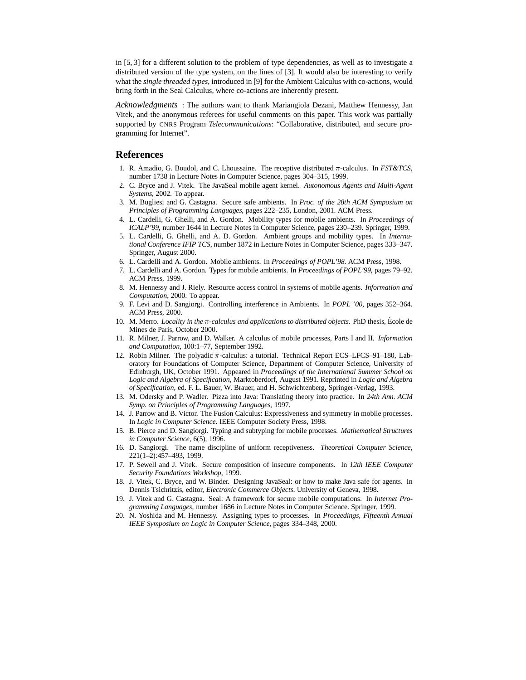in [5, 3] for a different solution to the problem of type dependencies, as well as to investigate a distributed version of the type system, on the lines of [3]. It would also be interesting to verify what the *single threaded types*, introduced in [9] for the Ambient Calculus with co-actions, would bring forth in the Seal Calculus, where co-actions are inherently present.

*Acknowledgments* : The authors want to thank Mariangiola Dezani, Matthew Hennessy, Jan Vitek, and the anonymous referees for useful comments on this paper. This work was partially supported by CNRS Program *Telecommunications*: "Collaborative, distributed, and secure programming for Internet".

## **References**

- 1. R. Amadio, G. Boudol, and C. Lhoussaine. The receptive distributed  $\pi$ -calculus. In *FST&TCS*, number 1738 in Lecture Notes in Computer Science, pages 304–315, 1999.
- 2. C. Bryce and J. Vitek. The JavaSeal mobile agent kernel. *Autonomous Agents and Multi-Agent Systems*, 2002. To appear.
- 3. M. Bugliesi and G. Castagna. Secure safe ambients. In *Proc. of the 28th ACM Symposium on Principles of Programming Languages*, pages 222–235, London, 2001. ACM Press.
- 4. L. Cardelli, G. Ghelli, and A. Gordon. Mobility types for mobile ambients. In *Proceedings of ICALP'99*, number 1644 in Lecture Notes in Computer Science, pages 230–239. Springer, 1999.
- 5. L. Cardelli, G. Ghelli, and A. D. Gordon. Ambient groups and mobility types. In *International Conference IFIP TCS*, number 1872 in Lecture Notes in Computer Science, pages 333–347. Springer, August 2000.
- 6. L. Cardelli and A. Gordon. Mobile ambients. In *Proceedings of POPL'98*. ACM Press, 1998.
- 7. L. Cardelli and A. Gordon. Types for mobile ambients. In *Proceedings of POPL'99*, pages 79–92. ACM Press, 1999.
- 8. M. Hennessy and J. Riely. Resource access control in systems of mobile agents. *Information and Computation*, 2000. To appear.
- 9. F. Levi and D. Sangiorgi. Controlling interference in Ambients. In *POPL '00*, pages 352–364. ACM Press, 2000.
- 10. M. Merro. *Locality in the*  $\pi$ -calculus and applications to distributed objects. PhD thesis, École de Mines de Paris, October 2000.
- 11. R. Milner, J. Parrow, and D. Walker. A calculus of mobile processes, Parts I and II. *Information and Computation*, 100:1–77, September 1992.
- 12. Robin Milner. The polyadic  $\pi$ -calculus: a tutorial. Technical Report ECS–LFCS–91–180, Laboratory for Foundations of Computer Science, Department of Computer Science, University of Edinburgh, UK, October 1991. Appeared in *Proceedings of the International Summer School on Logic and Algebra of Specification*, Marktoberdorf, August 1991. Reprinted in *Logic and Algebra of Specification*, ed. F. L. Bauer, W. Brauer, and H. Schwichtenberg, Springer-Verlag, 1993.
- 13. M. Odersky and P. Wadler. Pizza into Java: Translating theory into practice. In *24th Ann. ACM Symp. on Principles of Programming Languages*, 1997.
- 14. J. Parrow and B. Victor. The Fusion Calculus: Expressiveness and symmetry in mobile processes. In *Logic in Computer Science*. IEEE Computer Society Press, 1998.
- 15. B. Pierce and D. Sangiorgi. Typing and subtyping for mobile processes. *Mathematical Structures in Computer Science*, 6(5), 1996.
- 16. D. Sangiorgi. The name discipline of uniform receptiveness. *Theoretical Computer Science*, 221(1–2):457–493, 1999.
- 17. P. Sewell and J. Vitek. Secure composition of insecure components. In *12th IEEE Computer Security Foundations Workshop*, 1999.
- 18. J. Vitek, C. Bryce, and W. Binder. Designing JavaSeal: or how to make Java safe for agents. In Dennis Tsichritzis, editor, *Electronic Commerce Objects*. University of Geneva, 1998.
- 19. J. Vitek and G. Castagna. Seal: A framework for secure mobile computations. In *Internet Programming Languages*, number 1686 in Lecture Notes in Computer Science. Springer, 1999.
- 20. N. Yoshida and M. Hennessy. Assigning types to processes. In *Proceedings, Fifteenth Annual IEEE Symposium on Logic in Computer Science*, pages 334–348, 2000.